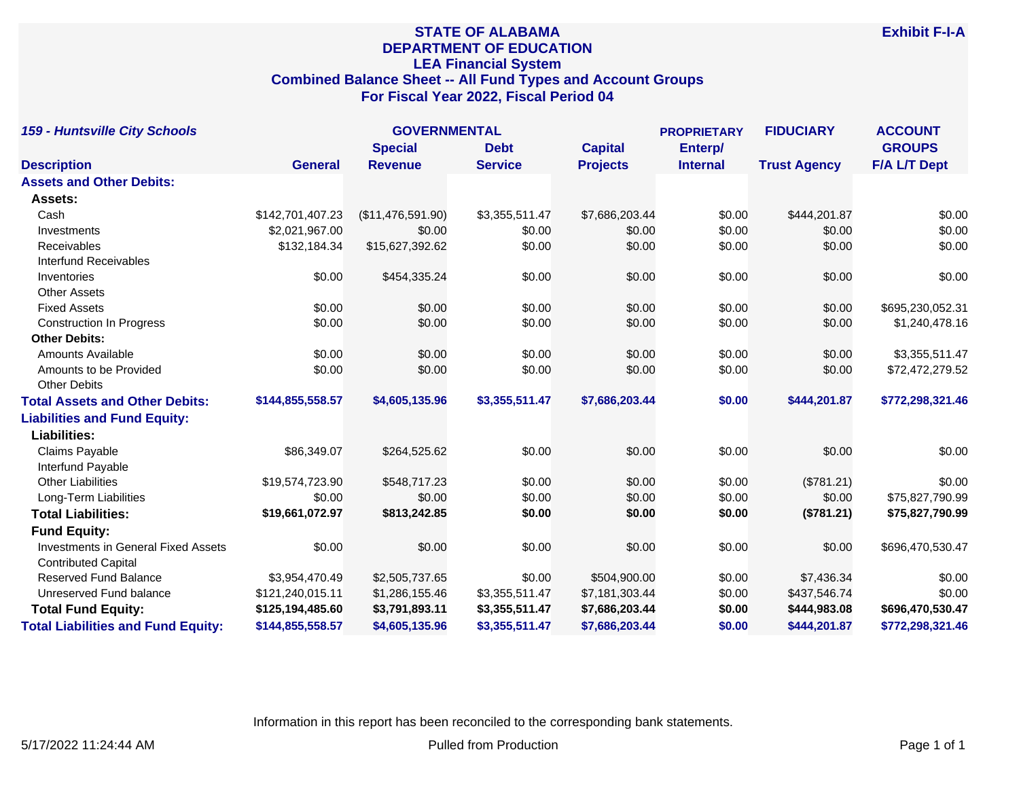# **STATE OF ALABAMA DEPARTMENT OF EDUCATION LEA Financial System Combined Balance Sheet -- All Fund Types and Account Groups For Fiscal Year 2022, Fiscal Period 04**

| <b>159 - Huntsville City Schools</b>       |                  | <b>GOVERNMENTAL</b> |                |                 | <b>PROPRIETARY</b> | <b>FIDUCIARY</b>    | <b>ACCOUNT</b>      |
|--------------------------------------------|------------------|---------------------|----------------|-----------------|--------------------|---------------------|---------------------|
|                                            |                  | <b>Special</b>      | <b>Debt</b>    | <b>Capital</b>  | Enterp/            |                     | <b>GROUPS</b>       |
| <b>Description</b>                         | <b>General</b>   | <b>Revenue</b>      | <b>Service</b> | <b>Projects</b> | <b>Internal</b>    | <b>Trust Agency</b> | <b>F/A L/T Dept</b> |
| <b>Assets and Other Debits:</b>            |                  |                     |                |                 |                    |                     |                     |
| Assets:                                    |                  |                     |                |                 |                    |                     |                     |
| Cash                                       | \$142,701,407.23 | (\$11,476,591.90)   | \$3,355,511.47 | \$7,686,203.44  | \$0.00             | \$444,201.87        | \$0.00              |
| Investments                                | \$2,021,967.00   | \$0.00              | \$0.00         | \$0.00          | \$0.00             | \$0.00              | \$0.00              |
| Receivables                                | \$132,184.34     | \$15,627,392.62     | \$0.00         | \$0.00          | \$0.00             | \$0.00              | \$0.00              |
| <b>Interfund Receivables</b>               |                  |                     |                |                 |                    |                     |                     |
| Inventories                                | \$0.00           | \$454,335.24        | \$0.00         | \$0.00          | \$0.00             | \$0.00              | \$0.00              |
| <b>Other Assets</b>                        |                  |                     |                |                 |                    |                     |                     |
| <b>Fixed Assets</b>                        | \$0.00           | \$0.00              | \$0.00         | \$0.00          | \$0.00             | \$0.00              | \$695,230,052.31    |
| <b>Construction In Progress</b>            | \$0.00           | \$0.00              | \$0.00         | \$0.00          | \$0.00             | \$0.00              | \$1,240,478.16      |
| <b>Other Debits:</b>                       |                  |                     |                |                 |                    |                     |                     |
| Amounts Available                          | \$0.00           | \$0.00              | \$0.00         | \$0.00          | \$0.00             | \$0.00              | \$3,355,511.47      |
| Amounts to be Provided                     | \$0.00           | \$0.00              | \$0.00         | \$0.00          | \$0.00             | \$0.00              | \$72,472,279.52     |
| <b>Other Debits</b>                        |                  |                     |                |                 |                    |                     |                     |
| <b>Total Assets and Other Debits:</b>      | \$144,855,558.57 | \$4,605,135.96      | \$3,355,511.47 | \$7,686,203.44  | \$0.00             | \$444,201.87        | \$772,298,321.46    |
| <b>Liabilities and Fund Equity:</b>        |                  |                     |                |                 |                    |                     |                     |
| <b>Liabilities:</b>                        |                  |                     |                |                 |                    |                     |                     |
| Claims Payable                             | \$86,349.07      | \$264,525.62        | \$0.00         | \$0.00          | \$0.00             | \$0.00              | \$0.00              |
| Interfund Payable                          |                  |                     |                |                 |                    |                     |                     |
| <b>Other Liabilities</b>                   | \$19,574,723.90  | \$548,717.23        | \$0.00         | \$0.00          | \$0.00             | (\$781.21)          | \$0.00              |
| Long-Term Liabilities                      | \$0.00           | \$0.00              | \$0.00         | \$0.00          | \$0.00             | \$0.00              | \$75,827,790.99     |
| <b>Total Liabilities:</b>                  | \$19,661,072.97  | \$813,242.85        | \$0.00         | \$0.00          | \$0.00             | (\$781.21)          | \$75,827,790.99     |
| <b>Fund Equity:</b>                        |                  |                     |                |                 |                    |                     |                     |
| <b>Investments in General Fixed Assets</b> | \$0.00           | \$0.00              | \$0.00         | \$0.00          | \$0.00             | \$0.00              | \$696,470,530.47    |
| <b>Contributed Capital</b>                 |                  |                     |                |                 |                    |                     |                     |
| <b>Reserved Fund Balance</b>               | \$3,954,470.49   | \$2,505,737.65      | \$0.00         | \$504,900.00    | \$0.00             | \$7,436.34          | \$0.00              |
| Unreserved Fund balance                    | \$121,240,015.11 | \$1,286,155.46      | \$3,355,511.47 | \$7,181,303.44  | \$0.00             | \$437,546.74        | \$0.00              |
| <b>Total Fund Equity:</b>                  | \$125,194,485.60 | \$3,791,893.11      | \$3,355,511.47 | \$7,686,203.44  | \$0.00             | \$444,983.08        | \$696,470,530.47    |
| <b>Total Liabilities and Fund Equity:</b>  | \$144,855,558.57 | \$4,605,135.96      | \$3,355,511.47 | \$7,686,203.44  | \$0.00             | \$444.201.87        | \$772,298,321.46    |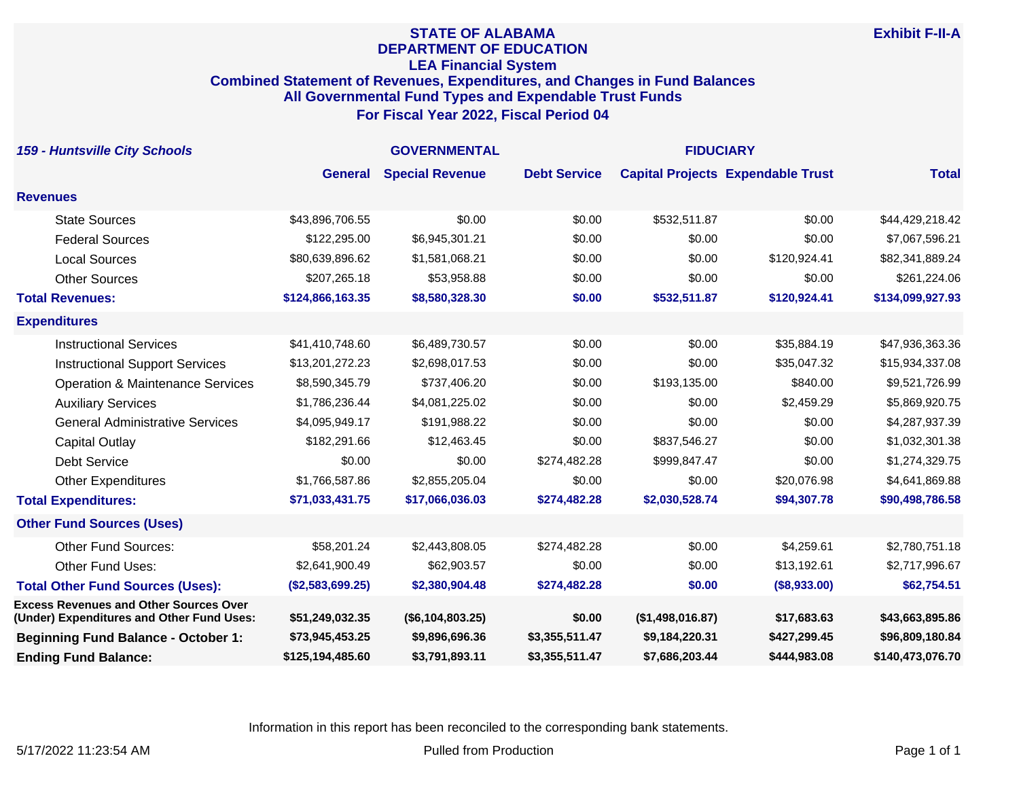## **STATE OF ALABAMA DEPARTMENT OF EDUCATION LEA Financial System Combined Statement of Revenues, Expenditures, and Changes in Fund Balances All Governmental Fund Types and Expendable Trust Funds For Fiscal Year 2022, Fiscal Period 04**

| <b>159 - Huntsville City Schools</b>                                                       | <b>GOVERNMENTAL</b> |                        |                     | <b>FIDUCIARY</b> |                                          |                  |
|--------------------------------------------------------------------------------------------|---------------------|------------------------|---------------------|------------------|------------------------------------------|------------------|
|                                                                                            | <b>General</b>      | <b>Special Revenue</b> | <b>Debt Service</b> |                  | <b>Capital Projects Expendable Trust</b> | <b>Total</b>     |
| <b>Revenues</b>                                                                            |                     |                        |                     |                  |                                          |                  |
| <b>State Sources</b>                                                                       | \$43,896,706.55     | \$0.00                 | \$0.00              | \$532,511.87     | \$0.00                                   | \$44,429,218.42  |
| <b>Federal Sources</b>                                                                     | \$122,295.00        | \$6,945,301.21         | \$0.00              | \$0.00           | \$0.00                                   | \$7,067,596.21   |
| <b>Local Sources</b>                                                                       | \$80,639,896.62     | \$1,581,068.21         | \$0.00              | \$0.00           | \$120,924.41                             | \$82,341,889.24  |
| <b>Other Sources</b>                                                                       | \$207,265.18        | \$53,958.88            | \$0.00              | \$0.00           | \$0.00                                   | \$261,224.06     |
| <b>Total Revenues:</b>                                                                     | \$124,866,163.35    | \$8,580,328.30         | \$0.00              | \$532,511.87     | \$120,924.41                             | \$134,099,927.93 |
| <b>Expenditures</b>                                                                        |                     |                        |                     |                  |                                          |                  |
| <b>Instructional Services</b>                                                              | \$41,410,748.60     | \$6,489,730.57         | \$0.00              | \$0.00           | \$35,884.19                              | \$47,936,363.36  |
| <b>Instructional Support Services</b>                                                      | \$13,201,272.23     | \$2,698,017.53         | \$0.00              | \$0.00           | \$35,047.32                              | \$15,934,337.08  |
| <b>Operation &amp; Maintenance Services</b>                                                | \$8,590,345.79      | \$737,406.20           | \$0.00              | \$193,135.00     | \$840.00                                 | \$9,521,726.99   |
| <b>Auxiliary Services</b>                                                                  | \$1,786,236.44      | \$4,081,225.02         | \$0.00              | \$0.00           | \$2,459.29                               | \$5,869,920.75   |
| <b>General Administrative Services</b>                                                     | \$4,095,949.17      | \$191,988.22           | \$0.00              | \$0.00           | \$0.00                                   | \$4,287,937.39   |
| <b>Capital Outlay</b>                                                                      | \$182,291.66        | \$12,463.45            | \$0.00              | \$837,546.27     | \$0.00                                   | \$1,032,301.38   |
| <b>Debt Service</b>                                                                        | \$0.00              | \$0.00                 | \$274,482.28        | \$999,847.47     | \$0.00                                   | \$1,274,329.75   |
| <b>Other Expenditures</b>                                                                  | \$1,766,587.86      | \$2,855,205.04         | \$0.00              | \$0.00           | \$20,076.98                              | \$4,641,869.88   |
| <b>Total Expenditures:</b>                                                                 | \$71,033,431.75     | \$17,066,036.03        | \$274,482.28        | \$2,030,528.74   | \$94,307.78                              | \$90,498,786.58  |
| <b>Other Fund Sources (Uses)</b>                                                           |                     |                        |                     |                  |                                          |                  |
| <b>Other Fund Sources:</b>                                                                 | \$58,201.24         | \$2,443,808.05         | \$274,482.28        | \$0.00           | \$4,259.61                               | \$2,780,751.18   |
| Other Fund Uses:                                                                           | \$2,641,900.49      | \$62,903.57            | \$0.00              | \$0.00           | \$13,192.61                              | \$2,717,996.67   |
| <b>Total Other Fund Sources (Uses):</b>                                                    | (\$2,583,699.25)    | \$2,380,904.48         | \$274,482.28        | \$0.00           | (\$8,933.00)                             | \$62,754.51      |
| <b>Excess Revenues and Other Sources Over</b><br>(Under) Expenditures and Other Fund Uses: | \$51,249,032.35     | (\$6,104,803.25)       | \$0.00              | (\$1,498,016.87) | \$17,683.63                              | \$43,663,895.86  |
| <b>Beginning Fund Balance - October 1:</b>                                                 | \$73,945,453.25     | \$9,896,696.36         | \$3,355,511.47      | \$9,184,220.31   | \$427,299.45                             | \$96,809,180.84  |
| <b>Ending Fund Balance:</b>                                                                | \$125,194,485.60    | \$3,791,893.11         | \$3,355,511.47      | \$7,686,203.44   | \$444,983.08                             | \$140,473,076.70 |

Information in this report has been reconciled to the corresponding bank statements.

**Exhibit F-II-A**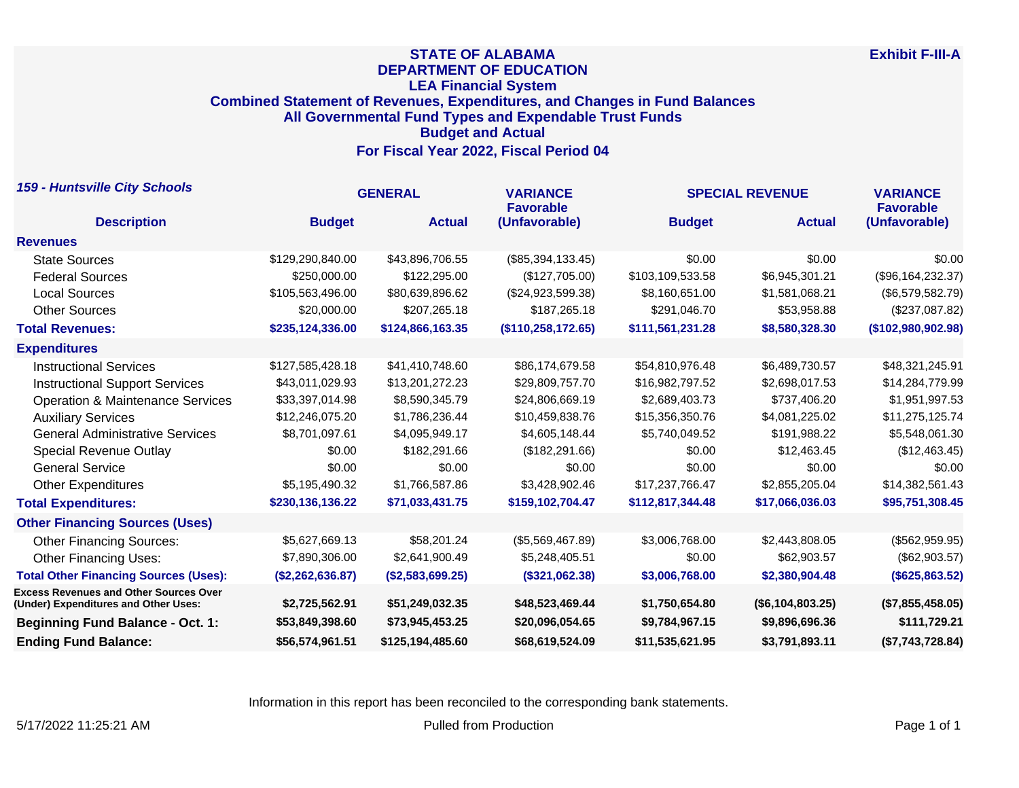## **STATE OF ALABAMA DEPARTMENT OF EDUCATION LEA Financial System Combined Statement of Revenues, Expenditures, and Changes in Fund Balances All Governmental Fund Types and Expendable Trust Funds Budget and Actual For Fiscal Year 2022, Fiscal Period 04**

| <b>159 - Huntsville City Schools</b>                                                  | <b>GENERAL</b>   |                  | <b>VARIANCE</b><br><b>Favorable</b> | <b>SPECIAL REVENUE</b> |                  | <b>VARIANCE</b><br><b>Favorable</b> |
|---------------------------------------------------------------------------------------|------------------|------------------|-------------------------------------|------------------------|------------------|-------------------------------------|
| <b>Description</b>                                                                    | <b>Budget</b>    | <b>Actual</b>    | (Unfavorable)                       | <b>Budget</b>          | <b>Actual</b>    | (Unfavorable)                       |
| <b>Revenues</b>                                                                       |                  |                  |                                     |                        |                  |                                     |
| <b>State Sources</b>                                                                  | \$129,290,840.00 | \$43,896,706.55  | $(\$85,394,133.45)$                 | \$0.00                 | \$0.00           | \$0.00                              |
| <b>Federal Sources</b>                                                                | \$250,000.00     | \$122,295.00     | (\$127,705.00)                      | \$103,109,533.58       | \$6,945,301.21   | (\$96,164,232.37)                   |
| <b>Local Sources</b>                                                                  | \$105,563,496.00 | \$80,639,896.62  | (\$24,923,599.38)                   | \$8,160,651.00         | \$1,581,068.21   | (\$6,579,582.79)                    |
| <b>Other Sources</b>                                                                  | \$20,000.00      | \$207,265.18     | \$187,265.18                        | \$291,046.70           | \$53,958.88      | (\$237,087.82)                      |
| <b>Total Revenues:</b>                                                                | \$235,124,336.00 | \$124,866,163.35 | (\$110, 258, 172.65)                | \$111,561,231.28       | \$8,580,328.30   | (\$102,980,902.98)                  |
| <b>Expenditures</b>                                                                   |                  |                  |                                     |                        |                  |                                     |
| <b>Instructional Services</b>                                                         | \$127,585,428.18 | \$41,410,748.60  | \$86,174,679.58                     | \$54,810,976.48        | \$6,489,730.57   | \$48,321,245.91                     |
| <b>Instructional Support Services</b>                                                 | \$43,011,029.93  | \$13,201,272.23  | \$29,809,757.70                     | \$16,982,797.52        | \$2,698,017.53   | \$14,284,779.99                     |
| <b>Operation &amp; Maintenance Services</b>                                           | \$33,397,014.98  | \$8,590,345.79   | \$24,806,669.19                     | \$2,689,403.73         | \$737,406.20     | \$1,951,997.53                      |
| <b>Auxiliary Services</b>                                                             | \$12,246,075.20  | \$1,786,236.44   | \$10,459,838.76                     | \$15,356,350.76        | \$4,081,225.02   | \$11,275,125.74                     |
| <b>General Administrative Services</b>                                                | \$8,701,097.61   | \$4,095,949.17   | \$4,605,148.44                      | \$5,740,049.52         | \$191,988.22     | \$5,548,061.30                      |
| <b>Special Revenue Outlay</b>                                                         | \$0.00           | \$182,291.66     | (\$182,291.66)                      | \$0.00                 | \$12,463,45      | (\$12,463.45)                       |
| <b>General Service</b>                                                                | \$0.00           | \$0.00           | \$0.00                              | \$0.00                 | \$0.00           | \$0.00                              |
| <b>Other Expenditures</b>                                                             | \$5,195,490.32   | \$1,766,587.86   | \$3,428,902.46                      | \$17,237,766.47        | \$2,855,205.04   | \$14,382,561.43                     |
| <b>Total Expenditures:</b>                                                            | \$230,136,136.22 | \$71,033,431.75  | \$159,102,704.47                    | \$112,817,344.48       | \$17,066,036.03  | \$95,751,308.45                     |
| <b>Other Financing Sources (Uses)</b>                                                 |                  |                  |                                     |                        |                  |                                     |
| <b>Other Financing Sources:</b>                                                       | \$5,627,669.13   | \$58,201.24      | (\$5,569,467.89)                    | \$3,006,768.00         | \$2,443,808.05   | (\$562,959.95)                      |
| <b>Other Financing Uses:</b>                                                          | \$7,890,306.00   | \$2,641,900.49   | \$5,248,405.51                      | \$0.00                 | \$62,903.57      | (\$62,903.57)                       |
| <b>Total Other Financing Sources (Uses):</b>                                          | (\$2,262,636.87) | (\$2,583,699.25) | (\$321,062.38)                      | \$3,006,768.00         | \$2,380,904.48   | (\$625,863.52)                      |
| <b>Excess Revenues and Other Sources Over</b><br>(Under) Expenditures and Other Uses: | \$2,725,562.91   | \$51,249,032.35  | \$48,523,469.44                     | \$1,750,654.80         | (\$6,104,803.25) | (\$7,855,458.05)                    |
| <b>Beginning Fund Balance - Oct. 1:</b>                                               | \$53,849,398.60  | \$73,945,453.25  | \$20,096,054.65                     | \$9,784,967.15         | \$9,896,696.36   | \$111,729.21                        |
| <b>Ending Fund Balance:</b>                                                           | \$56,574,961.51  | \$125,194,485.60 | \$68,619,524.09                     | \$11,535,621.95        | \$3,791,893.11   | (\$7,743,728.84)                    |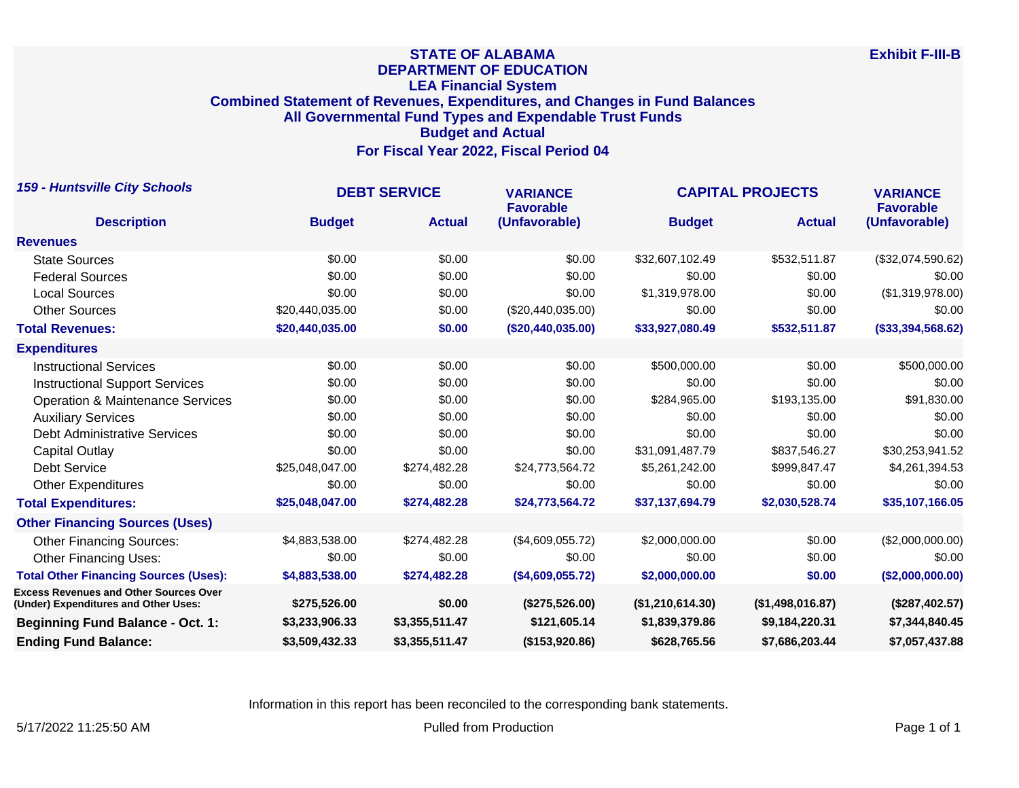## **STATE OF ALABAMA DEPARTMENT OF EDUCATION LEA Financial System Combined Statement of Revenues, Expenditures, and Changes in Fund Balances All Governmental Fund Types and Expendable Trust Funds Budget and Actual For Fiscal Year 2022, Fiscal Period 04**

| <b>159 - Huntsville City Schools</b>                                                  | <b>DEBT SERVICE</b> |                | <b>VARIANCE</b><br><b>Favorable</b> | <b>CAPITAL PROJECTS</b> |                  | <b>VARIANCE</b><br><b>Favorable</b> |
|---------------------------------------------------------------------------------------|---------------------|----------------|-------------------------------------|-------------------------|------------------|-------------------------------------|
| <b>Description</b>                                                                    | <b>Budget</b>       | <b>Actual</b>  | (Unfavorable)                       | <b>Budget</b>           | <b>Actual</b>    | (Unfavorable)                       |
| <b>Revenues</b>                                                                       |                     |                |                                     |                         |                  |                                     |
| <b>State Sources</b>                                                                  | \$0.00              | \$0.00         | \$0.00                              | \$32,607,102.49         | \$532,511.87     | (\$32,074,590.62)                   |
| <b>Federal Sources</b>                                                                | \$0.00              | \$0.00         | \$0.00                              | \$0.00                  | \$0.00           | \$0.00                              |
| <b>Local Sources</b>                                                                  | \$0.00              | \$0.00         | \$0.00                              | \$1,319,978.00          | \$0.00           | (\$1,319,978.00)                    |
| <b>Other Sources</b>                                                                  | \$20,440,035.00     | \$0.00         | (\$20,440,035.00)                   | \$0.00                  | \$0.00           | \$0.00                              |
| <b>Total Revenues:</b>                                                                | \$20,440,035.00     | \$0.00         | (\$20,440,035.00)                   | \$33,927,080.49         | \$532,511.87     | (\$33,394,568.62)                   |
| <b>Expenditures</b>                                                                   |                     |                |                                     |                         |                  |                                     |
| <b>Instructional Services</b>                                                         | \$0.00              | \$0.00         | \$0.00                              | \$500,000.00            | \$0.00           | \$500,000.00                        |
| <b>Instructional Support Services</b>                                                 | \$0.00              | \$0.00         | \$0.00                              | \$0.00                  | \$0.00           | \$0.00                              |
| <b>Operation &amp; Maintenance Services</b>                                           | \$0.00              | \$0.00         | \$0.00                              | \$284,965.00            | \$193,135.00     | \$91,830.00                         |
| <b>Auxiliary Services</b>                                                             | \$0.00              | \$0.00         | \$0.00                              | \$0.00                  | \$0.00           | \$0.00                              |
| <b>Debt Administrative Services</b>                                                   | \$0.00              | \$0.00         | \$0.00                              | \$0.00                  | \$0.00           | \$0.00                              |
| Capital Outlay                                                                        | \$0.00              | \$0.00         | \$0.00                              | \$31,091,487.79         | \$837,546.27     | \$30,253,941.52                     |
| <b>Debt Service</b>                                                                   | \$25,048,047.00     | \$274,482.28   | \$24,773,564.72                     | \$5,261,242.00          | \$999,847.47     | \$4,261,394.53                      |
| <b>Other Expenditures</b>                                                             | \$0.00              | \$0.00         | \$0.00                              | \$0.00                  | \$0.00           | \$0.00                              |
| <b>Total Expenditures:</b>                                                            | \$25,048,047.00     | \$274,482.28   | \$24,773,564.72                     | \$37,137,694.79         | \$2,030,528.74   | \$35,107,166.05                     |
| <b>Other Financing Sources (Uses)</b>                                                 |                     |                |                                     |                         |                  |                                     |
| <b>Other Financing Sources:</b>                                                       | \$4,883,538.00      | \$274,482.28   | (\$4,609,055.72)                    | \$2,000,000.00          | \$0.00           | (\$2,000,000.00)                    |
| <b>Other Financing Uses:</b>                                                          | \$0.00              | \$0.00         | \$0.00                              | \$0.00                  | \$0.00           | \$0.00                              |
| <b>Total Other Financing Sources (Uses):</b>                                          | \$4,883,538.00      | \$274,482.28   | (\$4,609,055.72)                    | \$2,000,000.00          | \$0.00           | (\$2,000,000.00)                    |
| <b>Excess Revenues and Other Sources Over</b><br>(Under) Expenditures and Other Uses: | \$275,526.00        | \$0.00         | (\$275,526.00)                      | (\$1,210,614.30)        | (\$1,498,016.87) | (\$287,402.57)                      |
| <b>Beginning Fund Balance - Oct. 1:</b>                                               | \$3,233,906.33      | \$3,355,511.47 | \$121,605.14                        | \$1,839,379.86          | \$9,184,220.31   | \$7,344,840.45                      |
| <b>Ending Fund Balance:</b>                                                           | \$3,509,432.33      | \$3,355,511.47 | (\$153,920.86)                      | \$628,765.56            | \$7,686,203.44   | \$7,057,437.88                      |